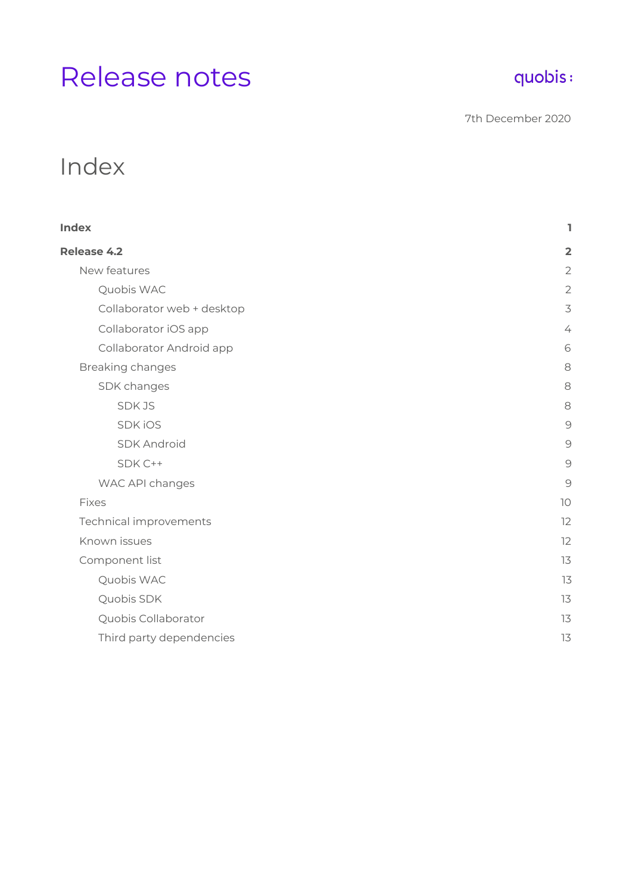# Release notes

# quobis:

7th December 2020

# <span id="page-0-0"></span>Index

| <b>Index</b>               | 1                       |
|----------------------------|-------------------------|
| <b>Release 4.2</b>         | $\overline{\mathbf{2}}$ |
| New features               | $\mathbf{2}$            |
| Quobis WAC                 | $\overline{2}$          |
| Collaborator web + desktop | 3                       |
| Collaborator iOS app       | 4                       |
| Collaborator Android app   | 6                       |
| <b>Breaking changes</b>    | 8                       |
| SDK changes                | 8                       |
| SDK JS                     | 8                       |
| SDK iOS                    | $\mathcal{O}$           |
| <b>SDK Android</b>         | $\mathcal{G}$           |
| SDK C++                    | $\mathcal{G}$           |
| WAC API changes            | $\mathcal{Q}$           |
| Fixes                      | 10                      |
| Technical improvements     | 12                      |
| Known issues               | 12                      |
| Component list             | 13                      |
| Quobis WAC                 | 13                      |
| Quobis SDK                 | 13                      |
| Quobis Collaborator        | 13                      |
| Third party dependencies   | 13                      |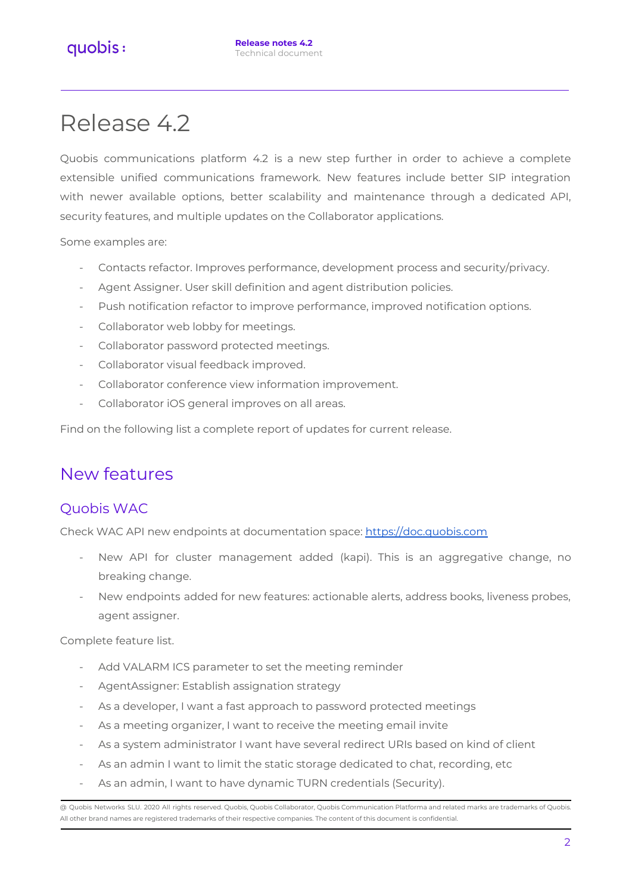# <span id="page-1-0"></span>Release 4.2

Quobis communications platform 4.2 is a new step further in order to achieve a complete extensible unified communications framework. New features include better SIP integration with newer available options, better scalability and maintenance through a dedicated API, security features, and multiple updates on the Collaborator applications.

Some examples are:

- Contacts refactor. Improves performance, development process and security/privacy.
- Agent Assigner. User skill definition and agent distribution policies.
- Push notification refactor to improve performance, improved notification options.
- Collaborator web lobby for meetings.
- Collaborator password protected meetings.
- Collaborator visual feedback improved.
- Collaborator conference view information improvement.
- Collaborator iOS general improves on all areas.

Find on the following list a complete report of updates for current release.

# <span id="page-1-1"></span>New features

### <span id="page-1-2"></span>Quobis WAC

Check WAC API new endpoints at documentation space: [https://doc.quobis.com](https://doc.quobis.com/)

- New API for cluster management added (kapi). This is an aggregative change, no breaking change.
- New endpoints added for new features: actionable alerts, address books, liveness probes, agent assigner.

Complete feature list.

- Add VALARM ICS parameter to set the meeting reminder
- AgentAssigner: Establish assignation strategy
- As a developer, I want a fast approach to password protected meetings
- As a meeting organizer, I want to receive the meeting email invite
- As a system administrator I want have several redirect URIs based on kind of client
- As an admin I want to limit the static storage dedicated to chat, recording, etc
- As an admin, I want to have dynamic TURN credentials (Security).

<sup>@</sup> Quobis Networks SLU. 2020 All rights reserved. Quobis, Quobis Collaborator, Quobis Communication Platforma and related marks are trademarks of Quobis. All other brand names are registered trademarks of their respective companies. The content of this document is confidential.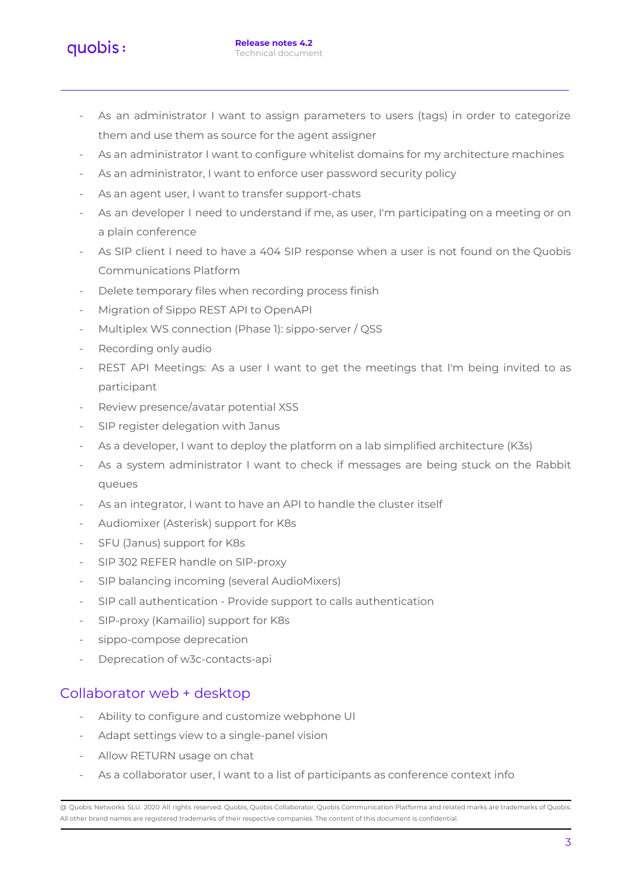- As an administrator I want to assign parameters to users (tags) in order to categorize them and use them as source for the agent assigner
- As an administrator I want to configure whitelist domains for my architecture machines
- As an administrator, I want to enforce user password security policy
- As an agent user, I want to transfer support-chats
- As an developer I need to understand if me, as user, I'm participating on a meeting or on a plain conference
- As SIP client I need to have a 404 SIP response when a user is not found on the Quobis Communications Platform
- Delete temporary files when recording process finish
- Migration of Sippo REST API to OpenAPI
- Multiplex WS connection (Phase 1): sippo-server / QSS
- Recording only audio
- REST API Meetings: As a user I want to get the meetings that I'm being invited to as participant
- Review presence/avatar potential XSS
- SIP register delegation with Janus
- As a developer, I want to deploy the platform on a lab simplified architecture (K3s)
- As a system administrator I want to check if messages are being stuck on the Rabbit queues
- As an integrator, I want to have an API to handle the cluster itself
- Audiomixer (Asterisk) support for K8s
- SFU (Janus) support for K8s
- SIP 302 REFER handle on SIP-proxy
- SIP balancing incoming (several AudioMixers)
- SIP call authentication Provide support to calls authentication
- SIP-proxy (Kamailio) support for K8s
- sippo-compose deprecation
- Deprecation of w3c-contacts-api

### <span id="page-2-0"></span>Collaborator web + desktop

- Ability to configure and customize webphone UI
- Adapt settings view to a single-panel vision
- Allow RETURN usage on chat
- As a collaborator user, I want to a list of participants as conference context info

<sup>@</sup> Quobis Networks SLU. 2020 All rights reserved. Quobis, Quobis Collaborator, Quobis Communication Platforma and related marks are trademarks of Quobis. All other brand names are registered trademarks of their respective companies. The content of this document is confidential.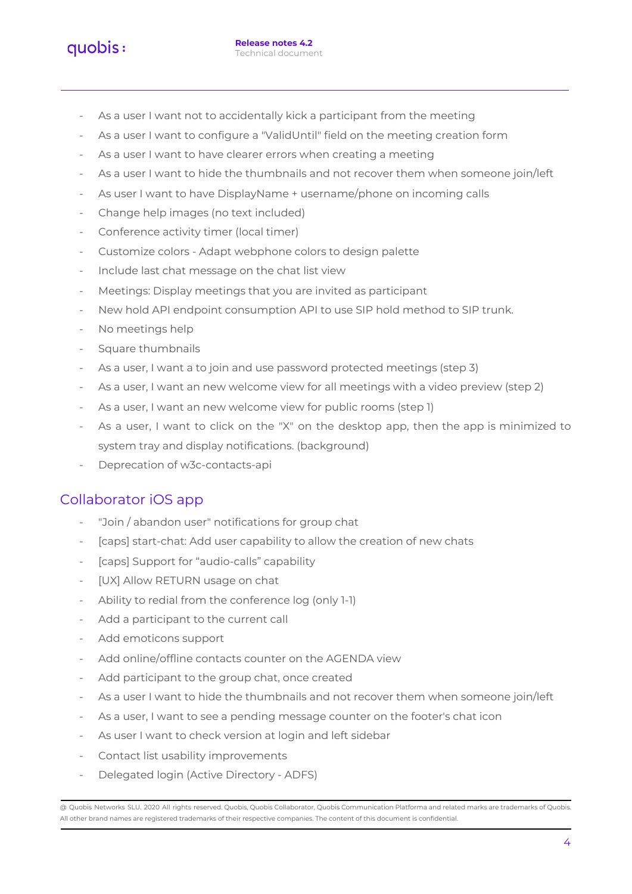- As a user I want not to accidentally kick a participant from the meeting
- As a user I want to configure a "ValidUntil" field on the meeting creation form
- As a user I want to have clearer errors when creating a meeting
- As a user I want to hide the thumbnails and not recover them when someone join/left
- As user I want to have DisplayName + username/phone on incoming calls
- Change help images (no text included)
- Conference activity timer (local timer)
- Customize colors Adapt webphone colors to design palette
- Include last chat message on the chat list view
- Meetings: Display meetings that you are invited as participant
- New hold API endpoint consumption API to use SIP hold method to SIP trunk.
- No meetings help
- Square thumbnails
- As a user, I want a to join and use password protected meetings (step 3)
- As a user, I want an new welcome view for all meetings with a video preview (step 2)
- As a user, I want an new welcome view for public rooms (step 1)
- As a user, I want to click on the "X" on the desktop app, then the app is minimized to system tray and display notifications. (background)
- Deprecation of w3c-contacts-api

### <span id="page-3-0"></span>Collaborator iOS app

- "Join / abandon user" notifications for group chat
- [caps] start-chat: Add user capability to allow the creation of new chats
- [caps] Support for "audio-calls" capability
- [UX] Allow RETURN usage on chat
- Ability to redial from the conference log (only 1-1)
- Add a participant to the current call
- Add emoticons support
- Add online/offline contacts counter on the AGENDA view
- Add participant to the group chat, once created
- As a user I want to hide the thumbnails and not recover them when someone join/left
- As a user, I want to see a pending message counter on the footer's chat icon
- As user I want to check version at login and left sidebar
- Contact list usability improvements
- Delegated login (Active Directory ADFS)

<sup>@</sup> Quobis Networks SLU. 2020 All rights reserved. Quobis, Quobis Collaborator, Quobis Communication Platforma and related marks are trademarks of Quobis. All other brand names are registered trademarks of their respective companies. The content of this document is confidential.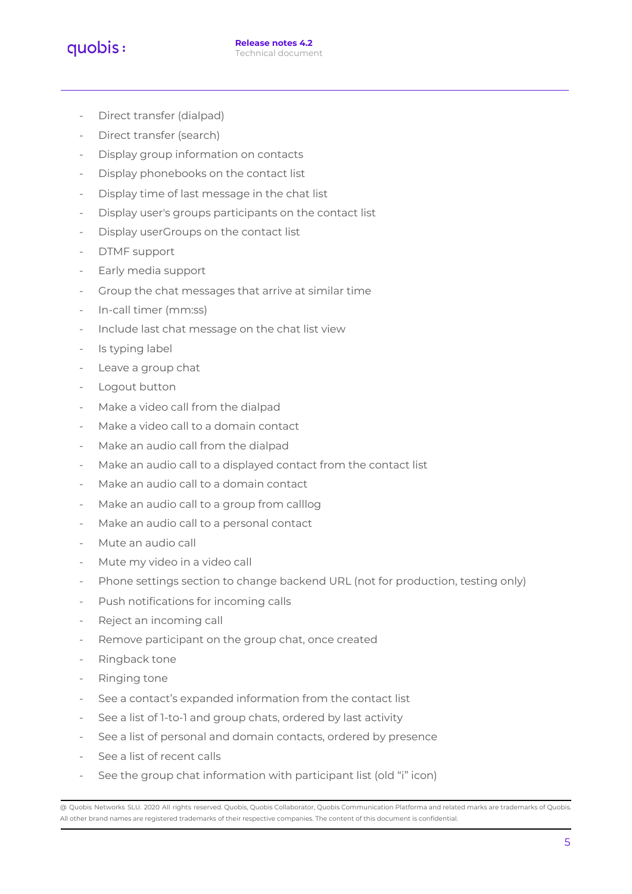- Direct transfer (dialpad)
- Direct transfer (search)
- Display group information on contacts
- Display phonebooks on the contact list
- Display time of last message in the chat list
- Display user's groups participants on the contact list
- Display userGroups on the contact list
- DTMF support
- Early media support
- Group the chat messages that arrive at similar time
- In-call timer (mm:ss)
- Include last chat message on the chat list view
- Is typing label
- Leave a group chat
- Logout button
- Make a video call from the dialpad
- Make a video call to a domain contact
- Make an audio call from the dialpad
- Make an audio call to a displayed contact from the contact list
- Make an audio call to a domain contact
- Make an audio call to a group from calllog
- Make an audio call to a personal contact
- Mute an audio call
- Mute my video in a video call
- Phone settings section to change backend URL (not for production, testing only)
- Push notifications for incoming calls
- Reject an incoming call
- Remove participant on the group chat, once created
- Ringback tone
- Ringing tone
- See a contact's expanded information from the contact list
- See a list of 1-to-1 and group chats, ordered by last activity
- See a list of personal and domain contacts, ordered by presence
- See a list of recent calls
- See the group chat information with participant list (old "i" icon)

<sup>@</sup> Quobis Networks SLU. 2020 All rights reserved. Quobis, Quobis Collaborator, Quobis Communication Platforma and related marks are trademarks of Quobis. All other brand names are registered trademarks of their respective companies. The content of this document is confidential.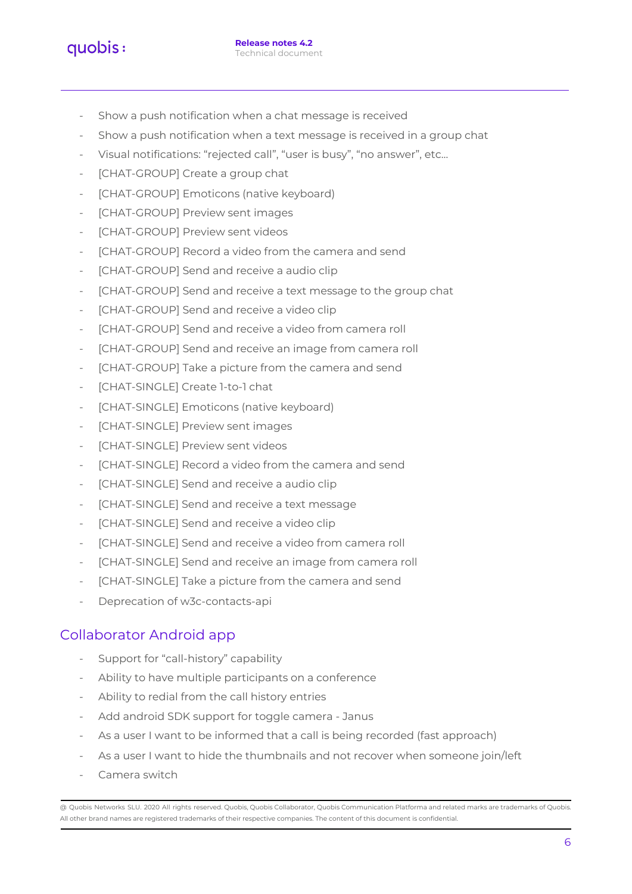- Show a push notification when a chat message is received
- Show a push notification when a text message is received in a group chat
- Visual notifications: "rejected call", "user is busy", "no answer", etc...
- [CHAT-GROUP] Create a group chat
- [CHAT-GROUP] Emoticons (native keyboard)
- [CHAT-GROUP] Preview sent images
- [CHAT-GROUP] Preview sent videos
- [CHAT-GROUP] Record a video from the camera and send
- [CHAT-GROUP] Send and receive a audio clip
- [CHAT-GROUP] Send and receive a text message to the group chat
- [CHAT-GROUP] Send and receive a video clip
- [CHAT-GROUP] Send and receive a video from camera roll
- [CHAT-GROUP] Send and receive an image from camera roll
- [CHAT-GROUP] Take a picture from the camera and send
- [CHAT-SINGLE] Create 1-to-1 chat
- [CHAT-SINGLE] Emoticons (native keyboard)
- [CHAT-SINGLE] Preview sent images
- [CHAT-SINGLE] Preview sent videos
- [CHAT-SINGLE] Record a video from the camera and send
- [CHAT-SINGLE] Send and receive a audio clip
- [CHAT-SINGLE] Send and receive a text message
- [CHAT-SINGLE] Send and receive a video clip
- [CHAT-SINGLE] Send and receive a video from camera roll
- [CHAT-SINGLE] Send and receive an image from camera roll
- [CHAT-SINGLE] Take a picture from the camera and send
- Deprecation of w3c-contacts-api

### <span id="page-5-0"></span>Collaborator Android app

- Support for "call-history" capability
- Ability to have multiple participants on a conference
- Ability to redial from the call history entries
- Add android SDK support for toggle camera Janus
- As a user I want to be informed that a call is being recorded (fast approach)
- As a user I want to hide the thumbnails and not recover when someone join/left
- Camera switch

<sup>@</sup> Quobis Networks SLU. 2020 All rights reserved. Quobis, Quobis Collaborator, Quobis Communication Platforma and related marks are trademarks of Quobis. All other brand names are registered trademarks of their respective companies. The content of this document is confidential.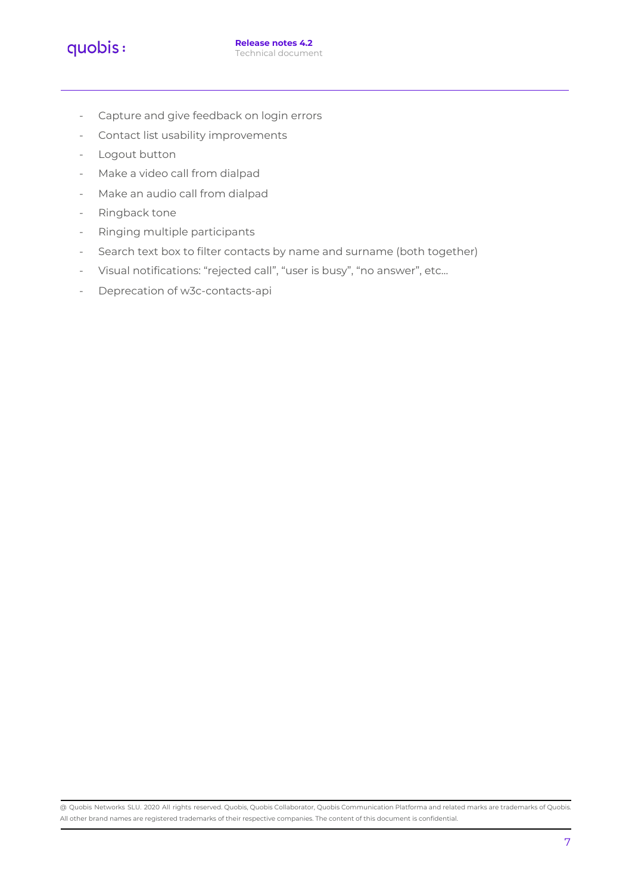# quobis:

- Capture and give feedback on login errors
- Contact list usability improvements
- Logout button
- Make a video call from dialpad
- Make an audio call from dialpad
- Ringback tone
- Ringing multiple participants
- Search text box to filter contacts by name and surname (both together)
- Visual notifications: "rejected call", "user is busy", "no answer", etc…
- Deprecation of w3c-contacts-api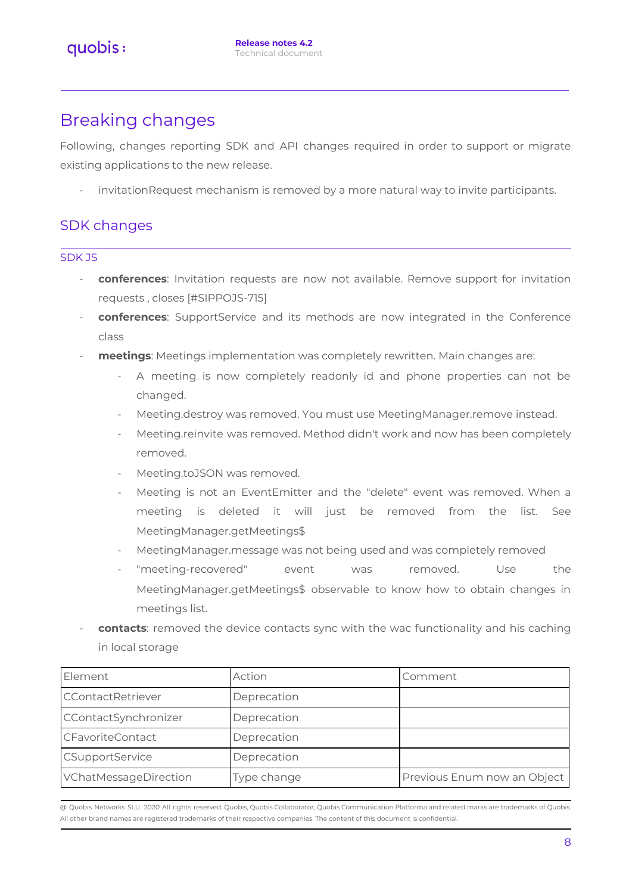# <span id="page-7-0"></span>Breaking changes

Following, changes reporting SDK and API changes required in order to support or migrate existing applications to the new release.

invitationRequest mechanism is removed by a more natural way to invite participants.

### <span id="page-7-1"></span>SDK changes

#### <span id="page-7-2"></span>SDK JS

- conferences: Invitation requests are now not available. Remove support for invitation requests , closes [#SIPPOJS-715]
- **conferences**: SupportService and its methods are now integrated in the Conference class
- **meetings**: Meetings implementation was completely rewritten. Main changes are:
	- A meeting is now completely readonly id and phone properties can not be changed.
	- Meeting.destroy was removed. You must use MeetingManager.remove instead.
	- Meeting.reinvite was removed. Method didn't work and now has been completely removed.
	- Meeting.toJSON was removed.
	- Meeting is not an EventEmitter and the "delete" event was removed. When a meeting is deleted it will just be removed from the list. See MeetingManager.getMeetings\$
	- MeetingManager.message was not being used and was completely removed
	- "meeting-recovered" event was removed. Use the MeetingManager.getMeetings\$ observable to know how to obtain changes in meetings list.
- **contacts**: removed the device contacts sync with the wac functionality and his caching in local storage

| Element                 | Action      | Comment                     |
|-------------------------|-------------|-----------------------------|
| CContactRetriever       | Deprecation |                             |
| CContactSynchronizer    | Deprecation |                             |
| <b>CFavoriteContact</b> | Deprecation |                             |
| CSupportService         | Deprecation |                             |
| VChatMessageDirection   | Type change | Previous Enum now an Object |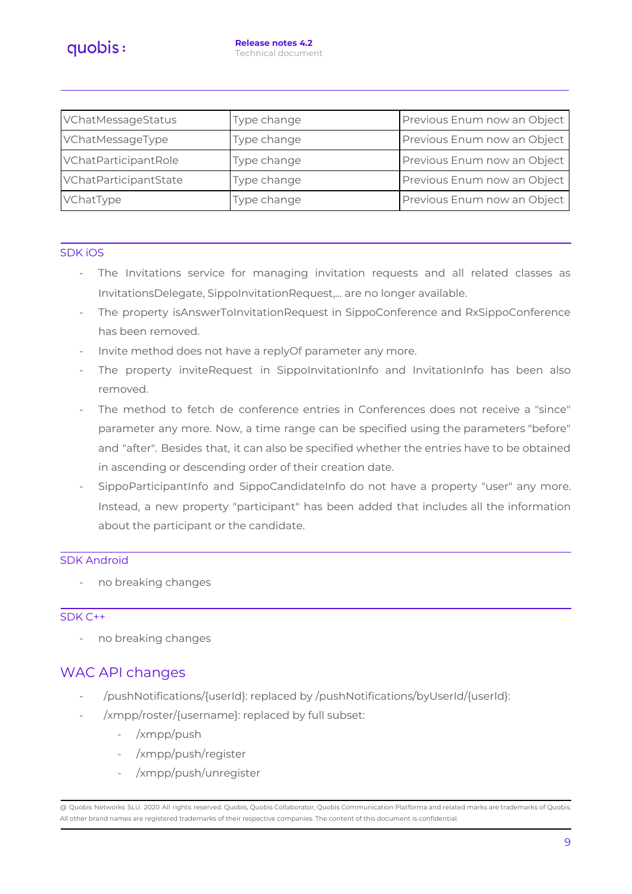| VChatMessageStatus    | Type change | Previous Enum now an Object |
|-----------------------|-------------|-----------------------------|
| VChatMessageType      | Type change | Previous Enum now an Object |
| VChatParticipantRole  | Type change | Previous Enum now an Object |
| VChatParticipantState | Type change | Previous Enum now an Object |
| VChatType             | Type change | Previous Enum now an Object |

#### <span id="page-8-0"></span>SDK iOS

- The Invitations service for managing invitation requests and all related classes as InvitationsDelegate, SippoInvitationRequest,... are no longer available.
- The property isAnswerToInvitationRequest in SippoConference and RxSippoConference has been removed.
- Invite method does not have a replyOf parameter any more.
- The property inviteRequest in SippoInvitationInfo and InvitationInfo has been also removed.
- The method to fetch de conference entries in Conferences does not receive a "since" parameter any more. Now, a time range can be specified using the parameters "before" and "after". Besides that, it can also be specified whether the entries have to be obtained in ascending or descending order of their creation date.
- SippoParticipantInfo and SippoCandidateInfo do not have a property "user" any more. Instead, a new property "participant" has been added that includes all the information about the participant or the candidate.

#### <span id="page-8-1"></span>SDK Android

- no breaking changes

#### <span id="page-8-2"></span>SDK C++

- no breaking changes

### <span id="page-8-3"></span>WAC API changes

- /pushNotifications/{userId}: replaced by /pushNotifications/byUserId/{userId}:
- /xmpp/roster/{username}: replaced by full subset:
	- /xmpp/push
	- /xmpp/push/register
	- /xmpp/push/unregister

<sup>@</sup> Quobis Networks SLU. 2020 All rights reserved. Quobis, Quobis Collaborator, Quobis Communication Platforma and related marks are trademarks of Quobis. All other brand names are registered trademarks of their respective companies. The content of this document is confidential.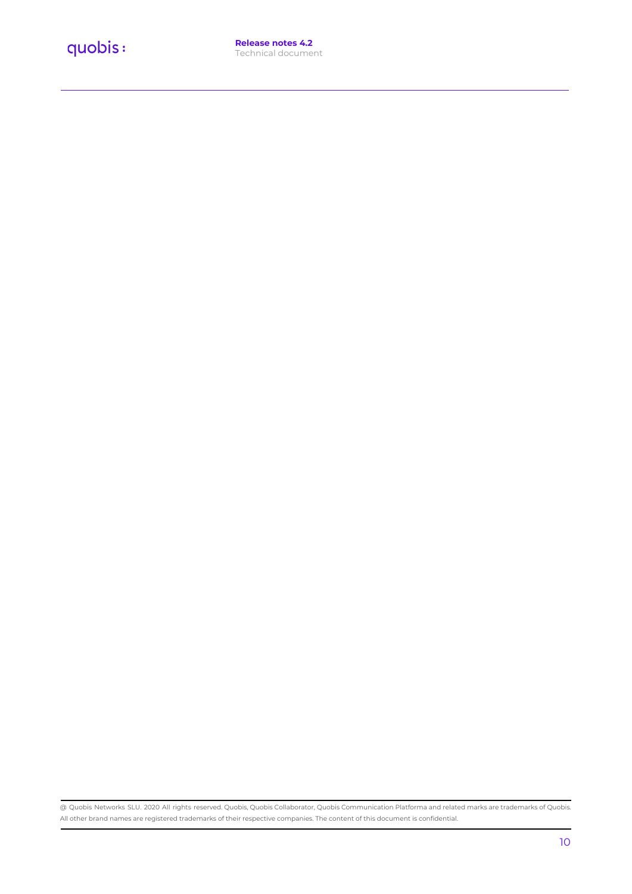

**Release notes 4.2** Technical document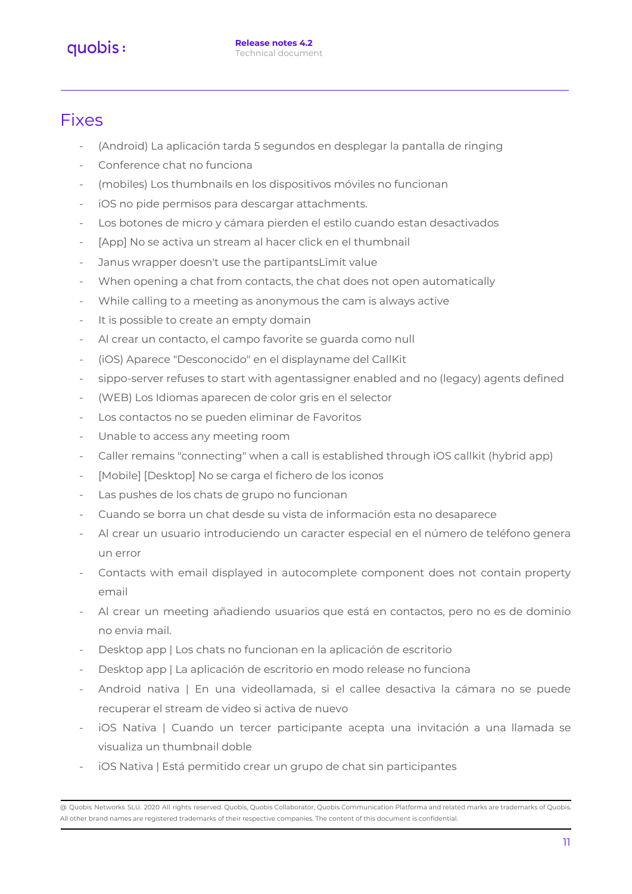## <span id="page-10-0"></span>Fixes

- (Android) La aplicación tarda 5 segundos en desplegar la pantalla de ringing
- Conference chat no funciona
- (mobiles) Los thumbnails en los dispositivos móviles no funcionan
- iOS no pide permisos para descargar attachments.
- Los botones de micro y cámara pierden el estilo cuando estan desactivados
- [App] No se activa un stream al hacer click en el thumbnail
- Janus wrapper doesn't use the partipantsLimit value
- When opening a chat from contacts, the chat does not open automatically
- While calling to a meeting as anonymous the cam is always active
- It is possible to create an empty domain
- Al crear un contacto, el campo favorite se guarda como null
- (iOS) Aparece "Desconocido" en el displayname del CallKit
- sippo-server refuses to start with agentassigner enabled and no (legacy) agents defined
- (WEB) Los Idiomas aparecen de color gris en el selector
- Los contactos no se pueden eliminar de Favoritos
- Unable to access any meeting room
- Caller remains "connecting" when a call is established through iOS callkit (hybrid app)
- [Mobile] [Desktop] No se carga el fichero de los iconos
- Las pushes de los chats de grupo no funcionan
- Cuando se borra un chat desde su vista de información esta no desaparece
- Al crear un usuario introduciendo un caracter especial en el número de teléfono genera un error
- Contacts with email displayed in autocomplete component does not contain property email
- Al crear un meeting añadiendo usuarios que está en contactos, pero no es de dominio no envia mail.
- Desktop app | Los chats no funcionan en la aplicación de escritorio
- Desktop app | La aplicación de escritorio en modo release no funciona
- Android nativa | En una videollamada, si el callee desactiva la cámara no se puede recuperar el stream de video si activa de nuevo
- iOS Nativa | Cuando un tercer participante acepta una invitación a una llamada se visualiza un thumbnail doble
- iOS Nativa | Está permitido crear un grupo de chat sin participantes

<sup>@</sup> Quobis Networks SLU. 2020 All rights reserved. Quobis, Quobis Collaborator, Quobis Communication Platforma and related marks are trademarks of Quobis. All other brand names are registered trademarks of their respective companies. The content of this document is confidential.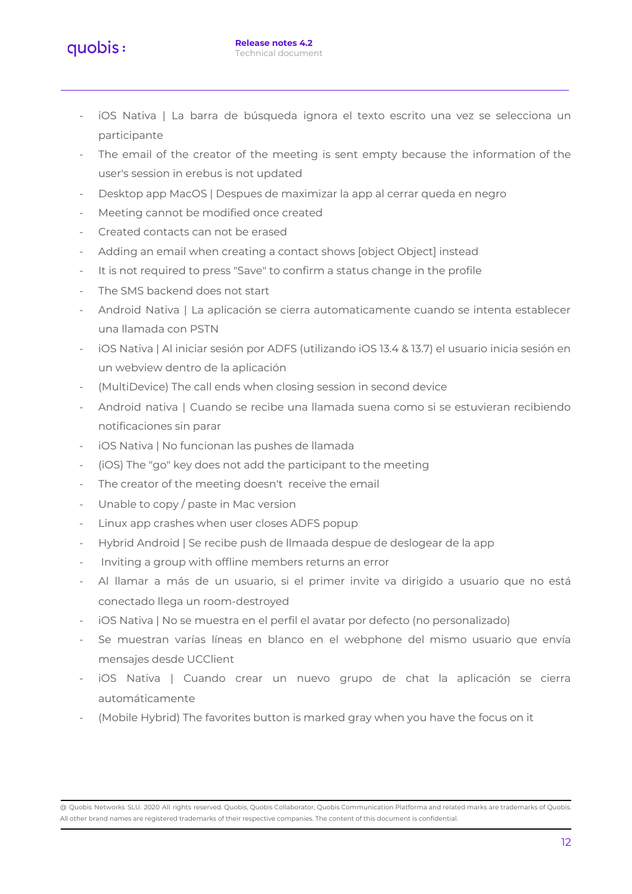## quobis:

- iOS Nativa | La barra de búsqueda ignora el texto escrito una vez se selecciona un participante
- The email of the creator of the meeting is sent empty because the information of the user's session in erebus is not updated
- Desktop app MacOS | Despues de maximizar la app al cerrar queda en negro
- Meeting cannot be modified once created
- Created contacts can not be erased
- Adding an email when creating a contact shows [object Object] instead
- It is not required to press "Save" to confirm a status change in the profile
- The SMS backend does not start
- Android Nativa | La aplicación se cierra automaticamente cuando se intenta establecer una llamada con PSTN
- iOS Nativa | Al iniciar sesión por ADFS (utilizando iOS 13.4 & 13.7) el usuario inicia sesión en un webview dentro de la aplicación
- (MultiDevice) The call ends when closing session in second device
- Android nativa | Cuando se recibe una llamada suena como si se estuvieran recibiendo notificaciones sin parar
- iOS Nativa | No funcionan las pushes de llamada
- (iOS) The "go" key does not add the participant to the meeting
- The creator of the meeting doesn't receive the email
- Unable to copy / paste in Mac version
- Linux app crashes when user closes ADFS popup
- Hybrid Android | Se recibe push de llmaada despue de deslogear de la app
- Inviting a group with offline members returns an error
- Al llamar a más de un usuario, si el primer invite va dirigido a usuario que no está conectado llega un room-destroyed
- iOS Nativa | No se muestra en el perfil el avatar por defecto (no personalizado)
- Se muestran varías líneas en blanco en el webphone del mismo usuario que envía mensajes desde UCClient
- iOS Nativa | Cuando crear un nuevo grupo de chat la aplicación se cierra automáticamente
- (Mobile Hybrid) The favorites button is marked gray when you have the focus on it

<sup>@</sup> Quobis Networks SLU. 2020 All rights reserved. Quobis, Quobis Collaborator, Quobis Communication Platforma and related marks are trademarks of Quobis. All other brand names are registered trademarks of their respective companies. The content of this document is confidential.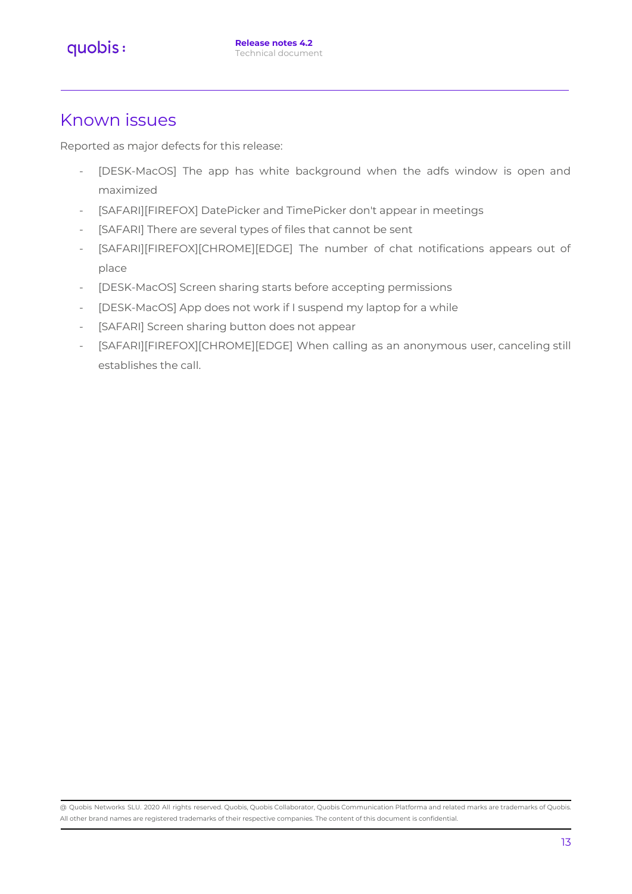# <span id="page-12-0"></span>Known issues

Reported as major defects for this release:

- [DESK-MacOS] The app has white background when the adfs window is open and maximized
- [SAFARI][FIREFOX] DatePicker and TimePicker don't appear in meetings
- [SAFARI] There are several types of files that cannot be sent
- [SAFARI][FIREFOX][CHROME][EDGE] The number of chat notifications appears out of place
- [DESK-MacOS] Screen sharing starts before accepting permissions
- [DESK-MacOS] App does not work if I suspend my laptop for a while
- [SAFARI] Screen sharing button does not appear
- [SAFARI][FIREFOX][CHROME][EDGE] When calling as an anonymous user, canceling still establishes the call.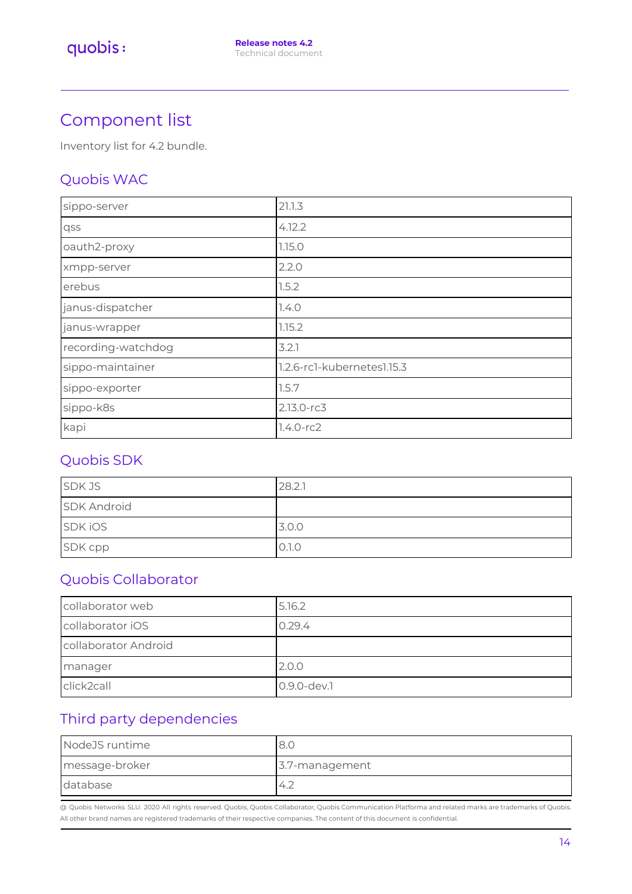# <span id="page-13-0"></span>Component list

Inventory list for 4.2 bundle.

### <span id="page-13-1"></span>Quobis WAC

| sippo-server       | 21.1.3                     |
|--------------------|----------------------------|
| qss                | 4.12.2                     |
| oauth2-proxy       | 1.15.0                     |
| xmpp-server        | 2.2.0                      |
| erebus             | 1.5.2                      |
| janus-dispatcher   | 1.4.0                      |
| janus-wrapper      | 1.15.2                     |
| recording-watchdog | 3.2.1                      |
| sippo-maintainer   | 1.2.6-rc1-kubernetes1.15.3 |
| sippo-exporter     | 1.5.7                      |
| sippo-k8s          | 2.13.0-rc3                 |
| kapi               | $1.4.0 - rc2$              |

### <span id="page-13-2"></span>Quobis SDK

| SDK JS             | 28.2.1 |
|--------------------|--------|
| <b>SDK Android</b> |        |
| SDK iOS            | 3.0.0  |
| SDK cpp            | 0.1.0  |

### <span id="page-13-3"></span>Quobis Collaborator

| collaborator web     | 5.16.2      |
|----------------------|-------------|
| collaborator iOS     | 0.29.4      |
| collaborator Android |             |
| manager              | 2.0.0       |
| click2call           | 0.9.0-dev.1 |

## <span id="page-13-4"></span>Third party dependencies

| NodeJS runtime | 8.C            |
|----------------|----------------|
| message-broker | 3.7-management |
| database       | 4.4            |